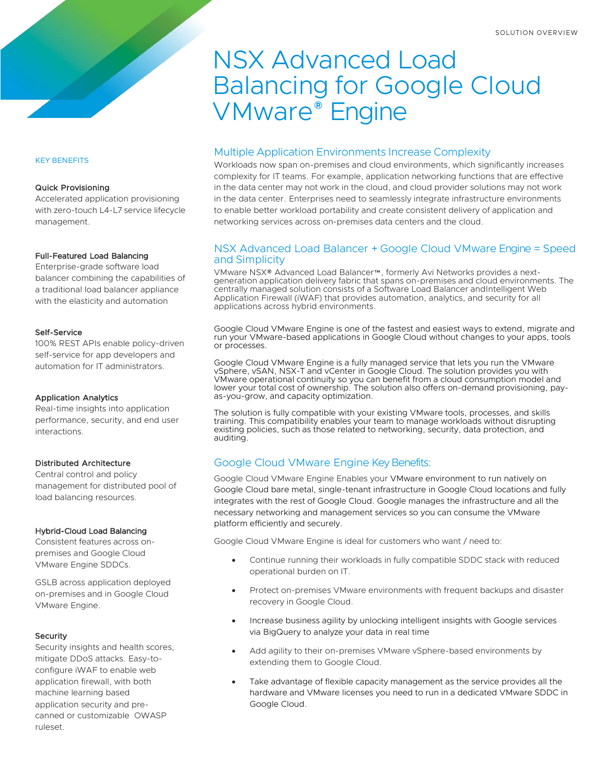# NSX Advanced Load Balancing for Google Cloud VMware® Engine

# Multiple Application Environments Increase Complexity

Workloads now span on-premises and cloud environments, which significantly increases complexity for IT teams. For example, application networking functions that are effective in the data center may not work in the cloud, and cloud provider solutions may not work in the data center. Enterprises need to seamlessly integrate infrastructure environments to enable better workload portability and create consistent delivery of application and networking services across on-premises data centers and the cloud.

## NSX Advanced Load Balancer + Google Cloud VMware Engine = Speed and Simplicity

VMware NSX® Advanced Load Balancer™, formerly Avi Networks provides a nextgeneration application delivery fabric that spans on-premises and cloud environments. The centrally managed solution consists of a Software Load Balancer andIntelligent Web Application Firewall (iWAF) that provides automation, analytics, and security for all applications across hybrid environments.

Google Cloud VMware Engine is one of the fastest and easiest ways to extend, migrate and run your VMware-based applications in Google Cloud without changes to your apps, tools or processes.

Google Cloud VMware Engine is a fully managed service that lets you run the VMware vSphere, vSAN, NSX-T and vCenter in Google Cloud. The solution provides you with VMware operational continuity so you can benefit from a cloud consumption model and lower your total cost of ownership. The solution also offers on-demand provisioning, payas-you-grow, and capacity optimization.

The solution is fully compatible with your existing VMware tools, processes, and skills training. This compatibility enables your team to manage workloads without disrupting existing policies, such as those related to networking, security, data protection, and auditing.

# Google Cloud VMware Engine Key Benefits:

Google Cloud VMware Engine Enables your VMware environment to run natively on Google Cloud bare metal, single-tenant infrastructure in Google Cloud locations and fully integrates with the rest of Google Cloud. Google manages the infrastructure and all the necessary networking and management services so you can consume the VMware platform efficiently and securely.

Google Cloud VMware Engine is ideal for customers who want / need to:

- Continue running their workloads in fully compatible SDDC stack with reduced operational burden on IT.
- Protect on-premises VMware environments with frequent backups and disaster recovery in Google Cloud.
- Increase business agility by unlocking intelligent insights with Google services via BigQuery to analyze your data in real time
- Add agility to their on-premises VMware vSphere-based environments by extending them to Google Cloud.
- Take advantage of flexible capacity management as the service provides all the hardware and VMware licenses you need to run in a dedicated VMware SDDC in Google Cloud.

#### KEY BENEFITS

#### Quick Provisioning

Accelerated application provisioning with zero-touch L4-L7 service lifecycle management.

#### Full-Featured Load Balancing

Enterprise-grade software load balancer combining the capabilities of a traditional load balancer appliance with the elasticity and automation

#### Self-Service

100% REST APIs enable policy-driven self-service for app developers and automation for IT administrators.

### Application Analytics

Real-time insights into application performance, security, and end user interactions.

## Distributed Architecture

Central control and policy management for distributed pool of load balancing resources.

#### Hybrid-Cloud Load Balancing

Consistent features across onpremises and Google Cloud VMware Engine SDDCs.

GSLB across application deployed on-premises and in Google Cloud VMware Engine.

#### Security

Security insights and health scores, mitigate DDoS attacks. Easy-toconfigure iWAF to enable web application firewall, with both machine learning based application security and precanned or customizable OWASP ruleset.